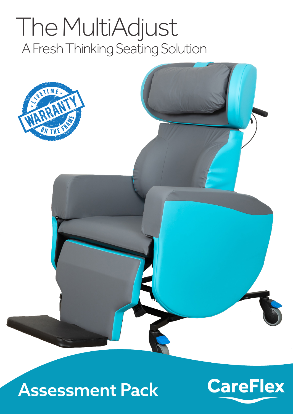# The MultiAdjust A Fresh Thinking Seating Solution





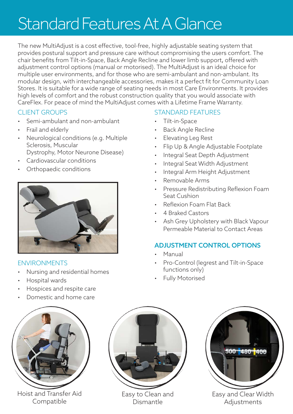## Standard Features At A Glance

The new MultiAdjust is a cost effective, tool-free, highly adjustable seating system that provides postural support and pressure care without compromising the users comfort. The chair benefits from Tilt-in-Space, Back Angle Recline and lower limb support, offered with adjustment control options (manual or motorised). The MultiAdjust is an ideal choice for multiple user environments, and for those who are semi-ambulant and non-ambulant. Its modular design, with interchangeable accessories, makes it a perfect fit for Community Loan Stores. It is suitable for a wide range of seating needs in most Care Environments. It provides high levels of comfort and the robust construction quality that you would associate with CareFlex. For peace of mind the MultiAdjust comes with a Lifetime Frame Warranty.

#### CLIENT GROUPS

- Semi-ambulant and non-ambulant
- Frail and elderly
- Neurological conditions (e.g. Multiple Sclerosis, Muscular Dystrophy, Motor Neurone Disease)
- Cardiovascular conditions
- Orthopaedic conditions



#### ENVIRONMENTS

- Nursing and residential homes
- Hospital wards
- Hospices and respite care
- Domestic and home care



Hoist and Transfer Aid Compatible



Easy to Clean and Dismantle



- Tilt-in-Space
- Back Angle Recline
- Elevating Leg Rest
- Flip Up & Angle Adjustable Footplate
- Integral Seat Depth Adjustment
- Integral Seat Width Adjustment
- Integral Arm Height Adjustment
- Removable Arms
- Pressure Redistributing Reflexion Foam Seat Cushion
- Reflexion Foam Flat Back
- 4 Braked Castors
- Ash Grey Upholstery with Black Vapour Permeable Material to Contact Areas

#### ADJUSTMENT CONTROL OPTIONS

- Manual
- Pro-Control (legrest and Tilt-in-Space functions only)
- Fully Motorised



Easy and Clear Width Adjustments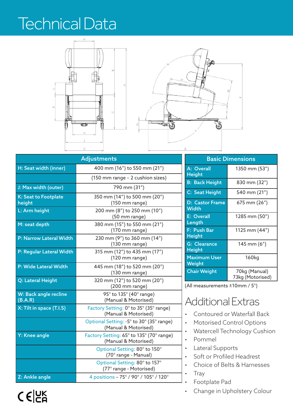### Technical Data



| <b>Adjustments</b>               |                                                                  |  |
|----------------------------------|------------------------------------------------------------------|--|
| H: Seat width (inner)            | 400 mm (16") to 550 mm (21")                                     |  |
|                                  | (150 mm range - 2 cushion sizes)                                 |  |
| J: Max width (outer)             | 790 mm (31")                                                     |  |
| K: Seat to Footplate<br>height   | 350 mm (14") to 500 mm (20")<br>(150 mm range)                   |  |
| L: Arm height                    | 200 mm (8") to 250 mm (10")<br>(50 mm range)                     |  |
| M: seat depth                    | 380 mm (15") to 550 mm (21")<br>(170 mm range)                   |  |
| P: Narrow Lateral Width          | 230 mm (9") to 360 mm (14")<br>$(130$ mm range)                  |  |
| P: Regular Lateral Width         | 315 mm (12") to 435 mm (17")<br>$(120 \text{ mm range})$         |  |
| P: Wide Lateral Width            | 445 mm (18") to 520 mm (20")<br>$(130$ mm range)                 |  |
| Q: Lateral Height                | 320 mm (12") to 520 mm (20")<br>(200 mm range)                   |  |
| W: Back angle recline<br>(B.A.R) | 95° to 135° (40° range)<br>(Manual & Motorised)                  |  |
| X: Tilt in space (T.I.S)         | Factory Setting: 0° to 35° (35° range)<br>(Manual & Motorised)   |  |
|                                  | Optional Setting: -5° to 30° (35° range)<br>(Manual & Motorised) |  |
| Y: Knee angle                    | Factory Setting: 65° to 135° (70° range)<br>(Manual & Motorised) |  |
|                                  | Optional Setting: 80° to 150°<br>(70° range - Manual)            |  |
|                                  | Optional Setting: 80° to 157°<br>(77° range - Motorised)         |  |
| Z: Ankle angle                   | 4 positions - 75° / 90° / 105° / 120°                            |  |

| <b>Basic Dimensions</b>              |                                   |  |  |
|--------------------------------------|-----------------------------------|--|--|
| A: Overall<br><b>Height</b>          | 1350 mm (53")                     |  |  |
| <b>B: Back Height</b>                | 830 mm (32″)                      |  |  |
| C: Seat Height                       | 540 mm (21")                      |  |  |
| <b>D: Castor Frame</b><br>Width      | 675 mm (26")                      |  |  |
| <b>E: Overall</b><br>Length          | 1285 mm (50")                     |  |  |
| F: Push Bar<br><b>Height</b>         | 1125 mm (44")                     |  |  |
| <b>G: Clearance</b><br><b>Height</b> | 145 mm (6")                       |  |  |
| <b>Maximum User</b><br>Weight        | 160kg                             |  |  |
| <b>Chair Weight</b>                  | 70kg (Manual)<br>73kg (Motorised) |  |  |

(All measurements ±10mm / 5°)

### Additional Extras

- Contoured or Waterfall Back
- Motorised Control Options
- Watercell Technology Cushion
- Pommel
- Lateral Supports
- Soft or Profiled Headrest
- Choice of Belts & Harnesses
- Tray
- Footplate Pad
- Change in Upholstery Colour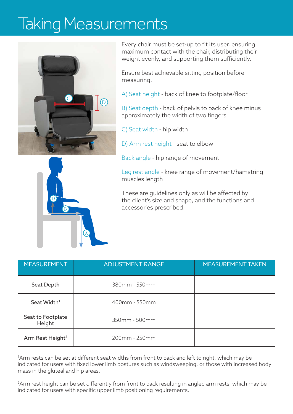### Taking Measurements



Every chair must be set-up to fit its user, ensuring maximum contact with the chair, distributing their weight evenly, and supporting them sufficiently.

Ensure best achievable sitting position before measuring.

A) Seat height - back of knee to footplate/floor

B) Seat depth - back of pelvis to back of knee minus approximately the width of two fingers

C) Seat width - hip width

D) Arm rest height - seat to elbow

Back angle - hip range of movement

Leg rest angle - knee range of movement/hamstring muscles length

These are guidelines only as will be affected by the client's size and shape, and the functions and accessories prescribed.

| <b>MEASUREMENT</b>           | <b>ADJUSTMENT RANGE</b> | <b>MEASUREMENT TAKEN</b> |
|------------------------------|-------------------------|--------------------------|
| Seat Depth                   | 380mm - 550mm           |                          |
| Seat Width <sup>1</sup>      | 400mm - 550mm           |                          |
| Seat to Footplate<br>Height  | 350mm - 500mm           |                          |
| Arm Rest Height <sup>2</sup> | 200mm - 250mm           |                          |

1 Arm rests can be set at different seat widths from front to back and left to right, which may be indicated for users with fixed lower limb postures such as windsweeping, or those with increased body mass in the gluteal and hip areas.

2 Arm rest height can be set differently from front to back resulting in angled arm rests, which may be indicated for users with specific upper limb positioning requirements.

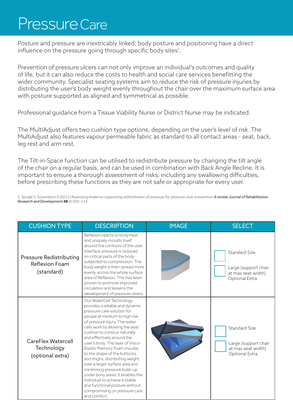### Pressure Care

Posture and pressure are inextricably linked; body posture and positioning have a direct influence on the pressure going through specific body sites $^1$ .

Prevention of pressure ulcers can not only improve an individual's outcomes and quality of life, but it can also reduce the costs to health and social care services benefitting the wider community. Specialist seating systems aim to reduce the risk of pressure injuries by distributing the user's body weight evenly throughout the chair over the maximum surface area with posture supported as aligned and symmetrical as possible.

Professional guidance from a Tissue Viability Nurse or District Nurse may be indicated.

The MultiAdjust offers two cushion type options, depending on the user's level of risk. The MultiAdjust also features vapour permeable fabric as standard to all contact areas - seat, back, leg rest and arm rest.

The Tilt-in-Space function can be utilised to redistribute pressure by changing the tilt angle of the chair on a regular basis, and can be used in combination with Back Angle Recline. It is important to ensure a thorough assessment of risks, including any swallowing difficulties, before prescribing these functions as they are not safe or appropriate for every user.

1. Sprigle S, Sonenblum S (2011) Assessing evidence supporting redistribution of pressure for pressure ulcer prevention*: A review Journal of Rehabilitation Research and Development* **48**(3):203-214

| <b>CUSHION TYPE</b>                                                   | <b>DESCRIPTION</b>                                                                                                                                                                                                                                                                                                                                                                                                                                                                                                                                                                                                           | <b>IMAGE</b> | <b>SELECT</b>                                                                        |
|-----------------------------------------------------------------------|------------------------------------------------------------------------------------------------------------------------------------------------------------------------------------------------------------------------------------------------------------------------------------------------------------------------------------------------------------------------------------------------------------------------------------------------------------------------------------------------------------------------------------------------------------------------------------------------------------------------------|--------------|--------------------------------------------------------------------------------------|
| <b>Pressure Redistributing</b><br><b>Reflexion Foam</b><br>(standard) | Reflexion reacts to body heat<br>and uniquely moulds itself<br>around the contours of the user.<br>Interface pressure is reduced<br>on critical parts of the body<br>subjected to compression. The<br>body weight is then spread more<br>evenly across the whole surface<br>area of Reflexion. This has been<br>proven to promote improved<br>circulation and lessens the<br>development of pressure ulcers.                                                                                                                                                                                                                 |              | <b>Standard Size</b><br>Large (support chair<br>at max seat width)<br>Optional Extra |
| <b>CareFlex Watercell</b><br>Technology<br>(optional extra)           | Our WaterCell Technology<br>provides a reliable and dynamic<br>pressure care solution for<br>people at medium to high risk<br>of pressure injury. The water<br>cells work by allowing the seat<br>cushion to contour naturally<br>and effectively around the<br>user's body. The layer of Visco-<br>Elastic Memory Foam moulds<br>to the shape of the buttocks<br>and thighs, distributing weight<br>over a larger surface area and<br>minimising pressure build-up<br>under bony areas. It enables the<br>individual to achieve a stable<br>and functional posture without<br>compromising on pressure care<br>and comfort. |              | Standard Size<br>Large (support chair<br>at max seat width)<br>Optional Extra        |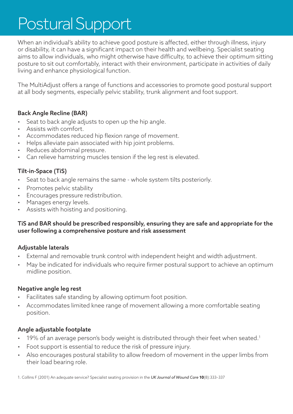## Postural Support

When an individual's ability to achieve good posture is affected, either through illness, injury or disability, it can have a significant impact on their health and wellbeing. Specialist seating aims to allow individuals, who might otherwise have difficulty, to achieve their optimum sitting posture to sit out comfortably, interact with their environment, participate in activities of daily living and enhance physiological function.

The MultiAdjust offers a range of functions and accessories to promote good postural support at all body segments, especially pelvic stability, trunk alignment and foot support.

#### Back Angle Recline (BAR)

- Seat to back angle adjusts to open up the hip angle.
- Assists with comfort.
- Accommodates reduced hip flexion range of movement.
- Helps alleviate pain associated with hip joint problems.
- Reduces abdominal pressure.
- Can relieve hamstring muscles tension if the leg rest is elevated.

#### Tilt-in-Space (TiS)

- Seat to back angle remains the same whole system tilts posteriorly.
- Promotes pelvic stability
- Encourages pressure redistribution.
- Manages energy levels.
- Assists with hoisting and positioning.

#### TiS and BAR should be prescribed responsibly, ensuring they are safe and appropriate for the user following a comprehensive posture and risk assessment

#### Adjustable laterals

- External and removable trunk control with independent height and width adjustment.
- May be indicated for individuals who require firmer postural support to achieve an optimum midline position.

#### Negative angle leg rest

- Facilitates safe standing by allowing optimum foot position.
- Accommodates limited knee range of movement allowing a more comfortable seating position.

#### Angle adjustable footplate

- 19% of an average person's body weight is distributed through their feet when seated.<sup>1</sup>
- Foot support is essential to reduce the risk of pressure injury.
- Also encourages postural stability to allow freedom of movement in the upper limbs from their load bearing role.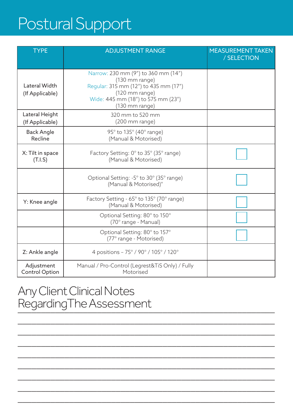## Postural Support

| <b>TYPE</b>                             | <b>ADJUSTMENT RANGE</b>                                                                                                                                                    | <b>MEASUREMENT TAKEN</b><br>/ SELECTION |
|-----------------------------------------|----------------------------------------------------------------------------------------------------------------------------------------------------------------------------|-----------------------------------------|
| <b>Lateral Width</b><br>(If Applicable) | Narrow: 230 mm (9") to 360 mm (14")<br>$(130$ mm range)<br>Regular: 315 mm (12") to 435 mm (17")<br>(120 mm range)<br>Wide: 445 mm (18") to 575 mm (23")<br>(130 mm range) |                                         |
| Lateral Height<br>(If Applicable)       | 320 mm to 520 mm<br>$(200 \text{ mm range})$                                                                                                                               |                                         |
| <b>Back Angle</b><br>Recline            | 95° to 135° (40° range)<br>(Manual & Motorised)                                                                                                                            |                                         |
| X: Tilt in space<br>(T.I.S)             | Factory Setting: 0° to 35° (35° range)<br>(Manual & Motorised)                                                                                                             |                                         |
|                                         | Optional Setting: -5° to 30° (35° range)<br>(Manual & Motorised)"                                                                                                          |                                         |
| Y: Knee angle                           | Factory Setting - 65° to 135° (70° range)<br>(Manual & Motorised)                                                                                                          |                                         |
|                                         | Optional Setting: 80° to 150°<br>(70° range - Manual)                                                                                                                      |                                         |
|                                         | Optional Setting: 80° to 157°<br>(77° range - Motorised)                                                                                                                   |                                         |
| Z: Ankle angle                          | 4 positions - 75° / 90° / 105° / 120°                                                                                                                                      |                                         |
| Adjustment<br><b>Control Option</b>     | Manual / Pro-Control (Legrest&TiS Only) / Fully<br>Motorised                                                                                                               |                                         |

\_\_\_\_\_\_\_\_\_\_\_\_\_\_\_\_\_\_\_\_\_\_\_\_\_\_\_\_\_\_\_\_\_\_\_\_\_\_\_\_\_\_\_\_\_\_\_\_\_\_\_\_\_\_\_

\_\_\_\_\_\_\_\_\_\_\_\_\_\_\_\_\_\_\_\_\_\_\_\_\_\_\_\_\_\_\_\_\_\_\_\_\_\_\_\_\_\_\_\_\_\_\_\_\_\_\_\_\_\_\_

\_\_\_\_\_\_\_\_\_\_\_\_\_\_\_\_\_\_\_\_\_\_\_\_\_\_\_\_\_\_\_\_\_\_\_\_\_\_\_\_\_\_\_\_\_\_\_\_\_\_\_\_\_\_\_

\_\_\_\_\_\_\_\_\_\_\_\_\_\_\_\_\_\_\_\_\_\_\_\_\_\_\_\_\_\_\_\_\_\_\_\_\_\_\_\_\_\_\_\_\_\_\_\_\_\_\_\_\_\_\_

\_\_\_\_\_\_\_\_\_\_\_\_\_\_\_\_\_\_\_\_\_\_\_\_\_\_\_\_\_\_\_\_\_\_\_\_\_\_\_\_\_\_\_\_\_\_\_\_\_\_\_\_\_\_\_

\_\_\_\_\_\_\_\_\_\_\_\_\_\_\_\_\_\_\_\_\_\_\_\_\_\_\_\_\_\_\_\_\_\_\_\_\_\_\_\_\_\_\_\_\_\_\_\_\_\_\_\_\_\_\_

\_\_\_\_\_\_\_\_\_\_\_\_\_\_\_\_\_\_\_\_\_\_\_\_\_\_\_\_\_\_\_\_\_\_\_\_\_\_\_\_\_\_\_\_\_\_\_\_\_\_\_\_\_\_\_

\_\_\_\_\_\_\_\_\_\_\_\_\_\_\_\_\_\_\_\_\_\_\_\_\_\_\_\_\_\_\_\_\_\_\_\_\_\_\_\_\_\_\_\_\_\_\_\_\_\_\_\_\_\_\_

### Any Client Clinical Notes RegardingThe Assessment<br>————————————————————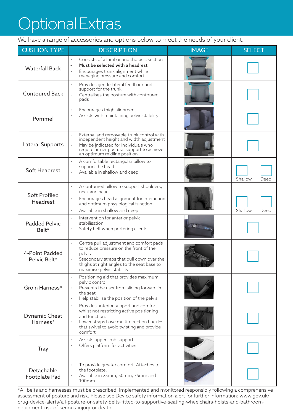## Optional Extras

We have a range of accessories and options below to meet the needs of your client.

| <b>CUSHION TYPE</b>              | <b>DESCRIPTION</b>                                                                                                                                                                                                               | <b>IMAGE</b> | <b>SELECT</b>   |
|----------------------------------|----------------------------------------------------------------------------------------------------------------------------------------------------------------------------------------------------------------------------------|--------------|-----------------|
| <b>Waterfall Back</b>            | Consists of a lumbar and thoracic section<br>Must be selected with a headrest<br>$\bullet$<br>Encourages trunk alignment while<br>managing pressure and comfort                                                                  |              |                 |
| <b>Contoured Back</b>            | Provides gentle lateral feedback and<br>support for the trunk<br>Centralises the posture with contoured<br>pads                                                                                                                  |              |                 |
| Pommel                           | Encourages thigh alignment<br>$\bullet$<br>Assists with maintaining pelvic stability<br>$\bullet$                                                                                                                                |              |                 |
| Lateral Supports                 | External and removable trunk control with<br>independent height and width adjustment<br>May be indicated for individuals who<br>$\bullet$<br>require firmer postural support to achieve<br>an optimum midline position           |              |                 |
| <b>Soft Headrest</b>             | A comfortable rectangular pillow to<br>support the head<br>Available in shallow and deep                                                                                                                                         |              | Shallow<br>Deep |
| <b>Soft Profiled</b><br>Headrest | A contoured pillow to support shoulders,<br>neck and head<br>Encourages head alignment for interaction<br>$\bullet$<br>and optimum physiological function<br>Available in shallow and deep<br>$\bullet$                          |              | Shallow<br>Deep |
| <b>Padded Pelvic</b><br>Belt*    | Intervention for anterior pelvic<br>stabilisation<br>Safety belt when portering clients                                                                                                                                          | II           |                 |
| 4-Point Padded<br>Pelvic Belt*   | Centre pull adjustment and comfort pads<br>$\bullet$<br>to reduce pressure on the front of the<br>pelvis<br>Ssecondary straps that pull down over the<br>thighs at right angles to the seat base to<br>maximise pelvic stability |              |                 |
| Groin Harness*                   | Positioning aid that provides maximum<br>pelvic control<br>Prevents the user from sliding forward in<br>the seat<br>Help stabilise the position of the pelvis<br>$\bullet$                                                       |              |                 |
| <b>Dynamic Chest</b><br>Harness* | Provides anterior support and comfort<br>$\bullet$<br>whilst not restricting active positioning<br>and function.<br>Lower straps have multi-direction buckles<br>that swivel to avoid twisting and provide<br>comfort            |              |                 |
| <b>Tray</b>                      | Assists upper limb support<br>$\bullet$<br>Offers platform for activities<br>$\bullet$                                                                                                                                           |              |                 |
| Detachable<br>Footplate Pad      | To provide greater comfort. Attaches to<br>the footplate.<br>Available in 25mm, 50mm, 75mm and<br>100 <sub>mm</sub>                                                                                                              |              |                 |

\*All belts and harnesses must be prescribed, implemented and monitored responsibly following a comprehensive assessment of posture and risk. Please see Device safety information alert for further information: www.gov.uk/ drug-device-alerts/all-posture-or-safety-belts-fitted-to-supportive-seating-wheelchairs-hoists-and-bathroomequipment-risk-of-serious-injury-or-death